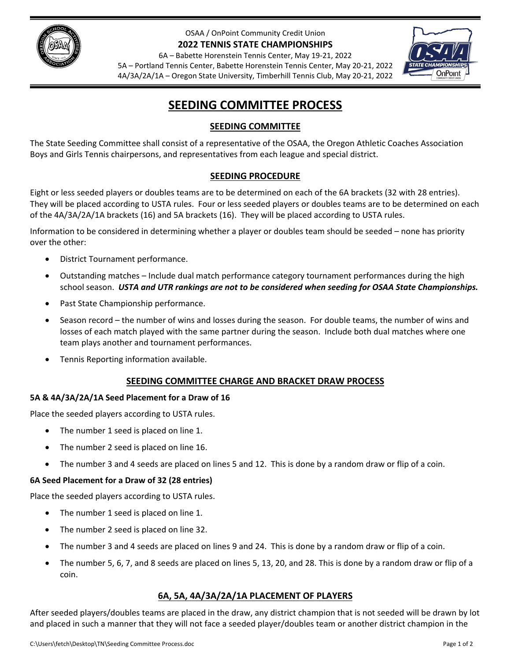

OSAA / OnPoint Community Credit Union **2022 TENNIS STATE CHAMPIONSHIPS**

6A – Babette Horenstein Tennis Center, May 19‐21, 2022 5A – Portland Tennis Center, Babette Horenstein Tennis Center, May 20‐21, 2022 4A/3A/2A/1A – Oregon State University, Timberhill Tennis Club, May 20‐21, 2022

# **SEEDING COMMITTEE PROCESS**

## **SEEDING COMMITTEE**

The State Seeding Committee shall consist of a representative of the OSAA, the Oregon Athletic Coaches Association Boys and Girls Tennis chairpersons, and representatives from each league and special district.

## **SEEDING PROCEDURE**

Eight or less seeded players or doubles teams are to be determined on each of the 6A brackets (32 with 28 entries). They will be placed according to USTA rules. Four or less seeded players or doubles teams are to be determined on each of the 4A/3A/2A/1A brackets (16) and 5A brackets (16). They will be placed according to USTA rules.

Information to be considered in determining whether a player or doubles team should be seeded – none has priority over the other:

- District Tournament performance.
- Outstanding matches Include dual match performance category tournament performances during the high school season. *USTA and UTR rankings are not to be considered when seeding for OSAA State Championships.*
- Past State Championship performance.
- Season record the number of wins and losses during the season. For double teams, the number of wins and losses of each match played with the same partner during the season. Include both dual matches where one team plays another and tournament performances.
- Tennis Reporting information available.

#### **SEEDING COMMITTEE CHARGE AND BRACKET DRAW PROCESS**

#### **5A & 4A/3A/2A/1A Seed Placement for a Draw of 16**

Place the seeded players according to USTA rules.

- The number 1 seed is placed on line 1.
- The number 2 seed is placed on line 16.
- The number 3 and 4 seeds are placed on lines 5 and 12. This is done by a random draw or flip of a coin.

#### **6A Seed Placement for a Draw of 32 (28 entries)**

Place the seeded players according to USTA rules.

- The number 1 seed is placed on line 1.
- The number 2 seed is placed on line 32.
- The number 3 and 4 seeds are placed on lines 9 and 24. This is done by a random draw or flip of a coin.
- The number 5, 6, 7, and 8 seeds are placed on lines 5, 13, 20, and 28. This is done by a random draw or flip of a coin.

#### **6A, 5A, 4A/3A/2A/1A PLACEMENT OF PLAYERS**

After seeded players/doubles teams are placed in the draw, any district champion that is not seeded will be drawn by lot and placed in such a manner that they will not face a seeded player/doubles team or another district champion in the